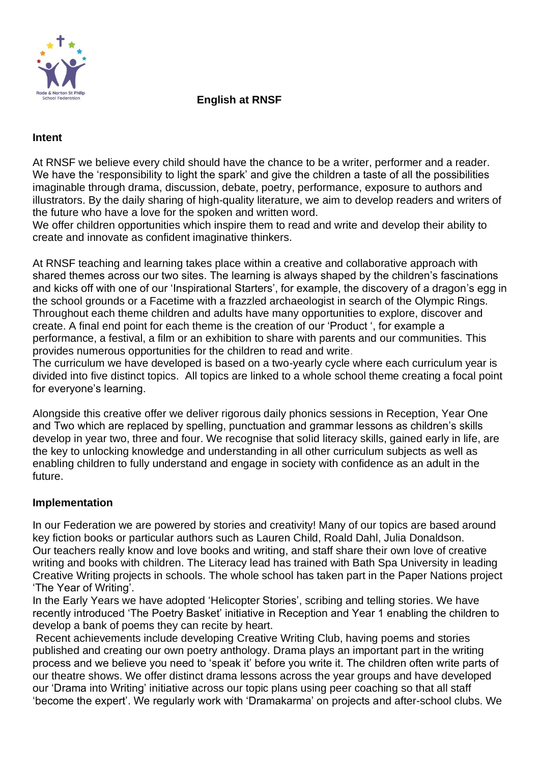

# **English at RNSF**

#### **Intent**

At RNSF we believe every child should have the chance to be a writer, performer and a reader. We have the 'responsibility to light the spark' and give the children a taste of all the possibilities imaginable through drama, discussion, debate, poetry, performance, exposure to authors and illustrators. By the daily sharing of high-quality literature, we aim to develop readers and writers of the future who have a love for the spoken and written word.

We offer children opportunities which inspire them to read and write and develop their ability to create and innovate as confident imaginative thinkers.

At RNSF teaching and learning takes place within a creative and collaborative approach with shared themes across our two sites. The learning is always shaped by the children's fascinations and kicks off with one of our 'Inspirational Starters', for example, the discovery of a dragon's egg in the school grounds or a Facetime with a frazzled archaeologist in search of the Olympic Rings. Throughout each theme children and adults have many opportunities to explore, discover and create. A final end point for each theme is the creation of our 'Product ', for example a performance, a festival, a film or an exhibition to share with parents and our communities. This provides numerous opportunities for the children to read and write.

The curriculum we have developed is based on a two-yearly cycle where each curriculum year is divided into five distinct topics. All topics are linked to a whole school theme creating a focal point for everyone's learning.

Alongside this creative offer we deliver rigorous daily phonics sessions in Reception, Year One and Two which are replaced by spelling, punctuation and grammar lessons as children's skills develop in year two, three and four. We recognise that solid literacy skills, gained early in life, are the key to unlocking knowledge and understanding in all other curriculum subjects as well as enabling children to fully understand and engage in society with confidence as an adult in the future.

## **Implementation**

In our Federation we are powered by stories and creativity! Many of our topics are based around key fiction books or particular authors such as Lauren Child, Roald Dahl, Julia Donaldson. Our teachers really know and love books and writing, and staff share their own love of creative writing and books with children. The Literacy lead has trained with Bath Spa University in leading Creative Writing projects in schools. The whole school has taken part in the Paper Nations project 'The Year of Writing'.

In the Early Years we have adopted 'Helicopter Stories', scribing and telling stories. We have recently introduced 'The Poetry Basket' initiative in Reception and Year 1 enabling the children to develop a bank of poems they can recite by heart.

Recent achievements include developing Creative Writing Club, having poems and stories published and creating our own poetry anthology. Drama plays an important part in the writing process and we believe you need to 'speak it' before you write it. The children often write parts of our theatre shows. We offer distinct drama lessons across the year groups and have developed our 'Drama into Writing' initiative across our topic plans using peer coaching so that all staff 'become the expert'. We regularly work with 'Dramakarma' on projects and after-school clubs. We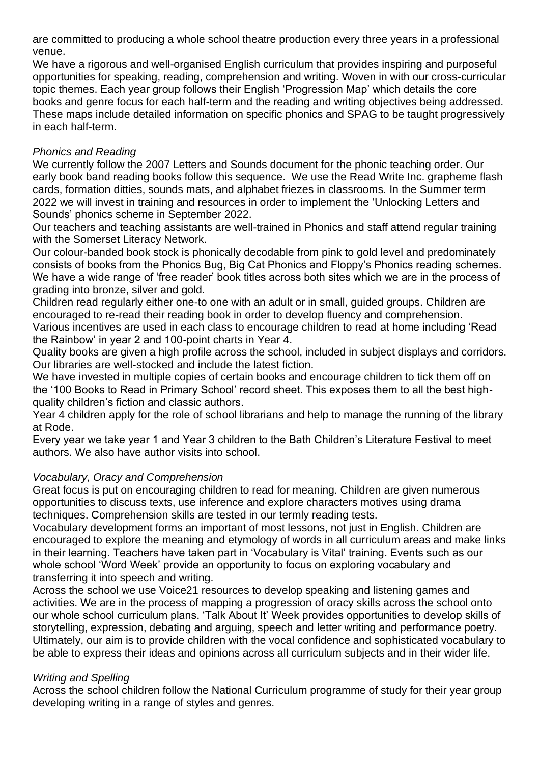are committed to producing a whole school theatre production every three years in a professional venue.

We have a rigorous and well-organised English curriculum that provides inspiring and purposeful opportunities for speaking, reading, comprehension and writing. Woven in with our cross-curricular topic themes. Each year group follows their English 'Progression Map' which details the core books and genre focus for each half-term and the reading and writing objectives being addressed. These maps include detailed information on specific phonics and SPAG to be taught progressively in each half-term.

## *Phonics and Reading*

We currently follow the 2007 Letters and Sounds document for the phonic teaching order. Our early book band reading books follow this sequence. We use the Read Write Inc. grapheme flash cards, formation ditties, sounds mats, and alphabet friezes in classrooms. In the Summer term 2022 we will invest in training and resources in order to implement the 'Unlocking Letters and Sounds' phonics scheme in September 2022.

Our teachers and teaching assistants are well-trained in Phonics and staff attend regular training with the Somerset Literacy Network.

Our colour-banded book stock is phonically decodable from pink to gold level and predominately consists of books from the Phonics Bug, Big Cat Phonics and Floppy's Phonics reading schemes. We have a wide range of 'free reader' book titles across both sites which we are in the process of grading into bronze, silver and gold.

Children read regularly either one-to one with an adult or in small, guided groups. Children are encouraged to re-read their reading book in order to develop fluency and comprehension. Various incentives are used in each class to encourage children to read at home including 'Read the Rainbow' in year 2 and 100-point charts in Year 4.

Quality books are given a high profile across the school, included in subject displays and corridors. Our libraries are well-stocked and include the latest fiction.

We have invested in multiple copies of certain books and encourage children to tick them off on the '100 Books to Read in Primary School' record sheet. This exposes them to all the best highquality children's fiction and classic authors.

Year 4 children apply for the role of school librarians and help to manage the running of the library at Rode.

Every year we take year 1 and Year 3 children to the Bath Children's Literature Festival to meet authors. We also have author visits into school.

## *Vocabulary, Oracy and Comprehension*

Great focus is put on encouraging children to read for meaning. Children are given numerous opportunities to discuss texts, use inference and explore characters motives using drama techniques. Comprehension skills are tested in our termly reading tests.

Vocabulary development forms an important of most lessons, not just in English. Children are encouraged to explore the meaning and etymology of words in all curriculum areas and make links in their learning. Teachers have taken part in 'Vocabulary is Vital' training. Events such as our whole school 'Word Week' provide an opportunity to focus on exploring vocabulary and transferring it into speech and writing.

Across the school we use Voice21 resources to develop speaking and listening games and activities. We are in the process of mapping a progression of oracy skills across the school onto our whole school curriculum plans. 'Talk About It' Week provides opportunities to develop skills of storytelling, expression, debating and arguing, speech and letter writing and performance poetry. Ultimately, our aim is to provide children with the vocal confidence and sophisticated vocabulary to be able to express their ideas and opinions across all curriculum subjects and in their wider life.

#### *Writing and Spelling*

Across the school children follow the National Curriculum programme of study for their year group developing writing in a range of styles and genres.